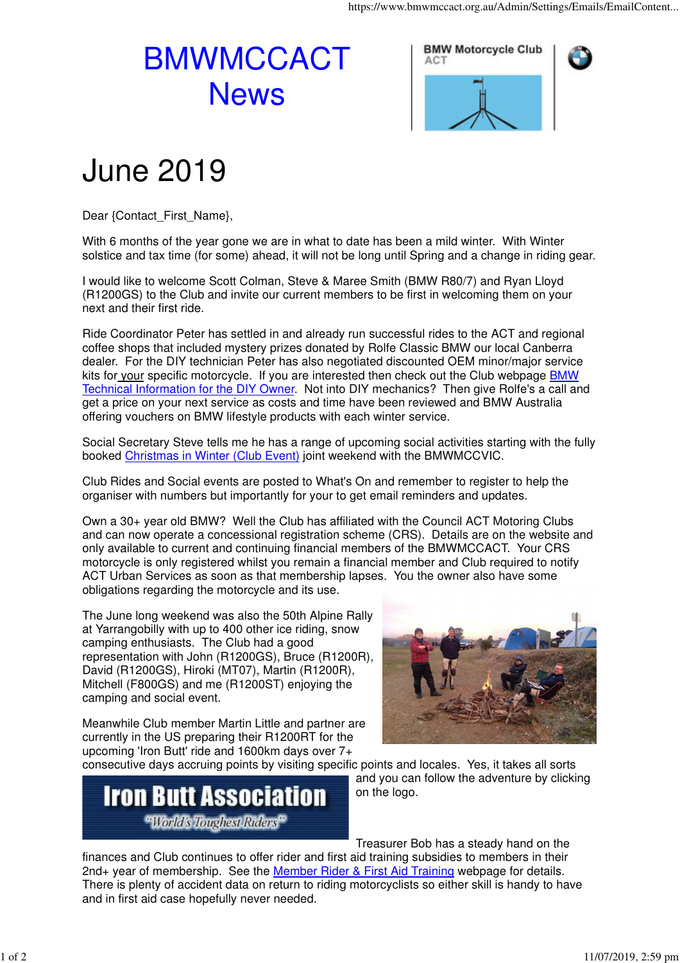## BMWMCCACT **News**



## June 2019

Dear {Contact\_First\_Name},

With 6 months of the year gone we are in what to date has been a mild winter. With Winter solstice and tax time (for some) ahead, it will not be long until Spring and a change in riding gear.

I would like to welcome Scott Colman, Steve & Maree Smith (BMW R80/7) and Ryan Lloyd (R1200GS) to the Club and invite our current members to be first in welcoming them on your next and their first ride.

Ride Coordinator Peter has settled in and already run successful rides to the ACT and regional coffee shops that included mystery prizes donated by Rolfe Classic BMW our local Canberra dealer. For the DIY technician Peter has also negotiated discounted OEM minor/major service kits for your specific motorcycle. If you are interested then check out the Club webpage **BMW** Technical Information for the DIY Owner. Not into DIY mechanics? Then give Rolfe's a call and get a price on your next service as costs and time have been reviewed and BMW Australia offering vouchers on BMW lifestyle products with each winter service.

Social Secretary Steve tells me he has a range of upcoming social activities starting with the fully booked Christmas in Winter (Club Event) joint weekend with the BMWMCCVIC.

Club Rides and Social events are posted to What's On and remember to register to help the organiser with numbers but importantly for your to get email reminders and updates.

Own a 30+ year old BMW? Well the Club has affiliated with the Council ACT Motoring Clubs and can now operate a concessional registration scheme (CRS). Details are on the website and only available to current and continuing financial members of the BMWMCCACT. Your CRS motorcycle is only registered whilst you remain a financial member and Club required to notify ACT Urban Services as soon as that membership lapses. You the owner also have some obligations regarding the motorcycle and its use.

The June long weekend was also the 50th Alpine Rally at Yarrangobilly with up to 400 other ice riding, snow camping enthusiasts. The Club had a good representation with John (R1200GS), Bruce (R1200R), David (R1200GS), Hiroki (MT07), Martin (R1200R), Mitchell (F800GS) and me (R1200ST) enjoying the camping and social event.

Meanwhile Club member Martin Little and partner are currently in the US preparing their R1200RT for the upcoming 'Iron Butt' ride and 1600km days over 7+





consecutive days accruing points by visiting specific points and locales. Yes, it takes all sorts and you can follow the adventure by clicking on the logo.

Treasurer Bob has a steady hand on the

finances and Club continues to offer rider and first aid training subsidies to members in their 2nd+ year of membership. See the Member Rider & First Aid Training webpage for details. There is plenty of accident data on return to riding motorcyclists so either skill is handy to have and in first aid case hopefully never needed.